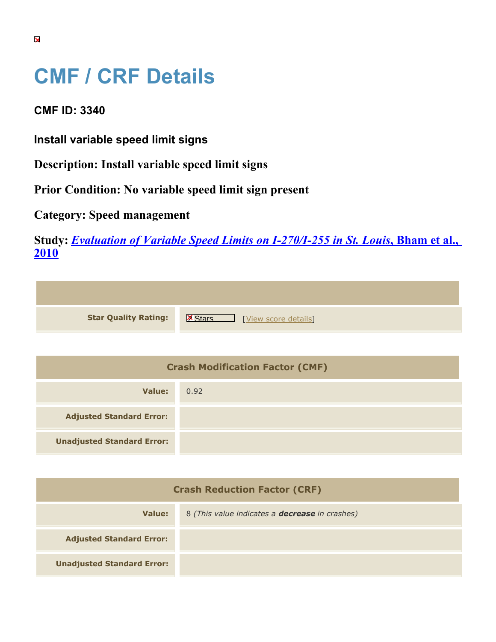## **CMF / CRF Details**

**CMF ID: 3340**

**Install variable speed limit signs**

**Description: Install variable speed limit signs**

**Prior Condition: No variable speed limit sign present**

**Category: Speed management**

**Study:** *[Evaluation of Variable Speed Limits on I-270/I-255 in St. Louis](https://cmfclearinghouse.org/study_detail.cfm?stid=233)***[, Bham et al.,](https://cmfclearinghouse.org/study_detail.cfm?stid=233) [2010](https://cmfclearinghouse.org/study_detail.cfm?stid=233)**

| <b>Star Quality Rating:</b> | $\mathbf{X}$<br>[View score details] |
|-----------------------------|--------------------------------------|

| <b>Crash Modification Factor (CMF)</b> |      |
|----------------------------------------|------|
| Value:                                 | 0.92 |
| <b>Adjusted Standard Error:</b>        |      |
| <b>Unadjusted Standard Error:</b>      |      |

| <b>Crash Reduction Factor (CRF)</b> |                                                       |
|-------------------------------------|-------------------------------------------------------|
| Value:                              | 8 (This value indicates a <b>decrease</b> in crashes) |
| <b>Adjusted Standard Error:</b>     |                                                       |
| <b>Unadjusted Standard Error:</b>   |                                                       |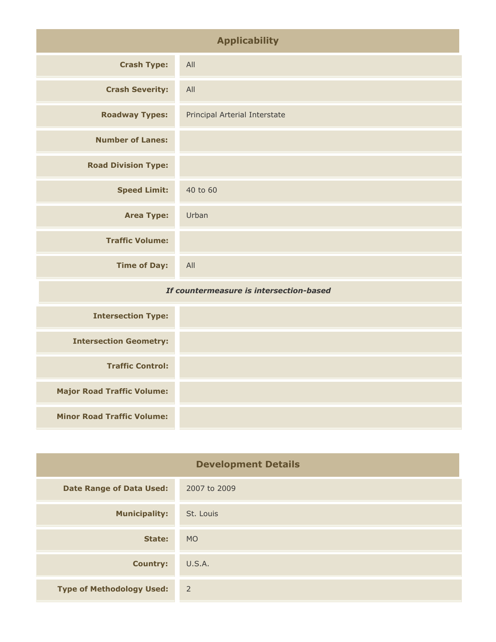| <b>Applicability</b>                    |                               |
|-----------------------------------------|-------------------------------|
| <b>Crash Type:</b>                      | All                           |
| <b>Crash Severity:</b>                  | All                           |
| <b>Roadway Types:</b>                   | Principal Arterial Interstate |
| <b>Number of Lanes:</b>                 |                               |
| <b>Road Division Type:</b>              |                               |
| <b>Speed Limit:</b>                     | 40 to 60                      |
| <b>Area Type:</b>                       | Urban                         |
| <b>Traffic Volume:</b>                  |                               |
| <b>Time of Day:</b>                     | All                           |
| If countermeasure is intersection-based |                               |

| <b>Intersection Type:</b>         |  |
|-----------------------------------|--|
| <b>Intersection Geometry:</b>     |  |
| <b>Traffic Control:</b>           |  |
| <b>Major Road Traffic Volume:</b> |  |
| <b>Minor Road Traffic Volume:</b> |  |

| <b>Development Details</b>       |                |
|----------------------------------|----------------|
| <b>Date Range of Data Used:</b>  | 2007 to 2009   |
| <b>Municipality:</b>             | St. Louis      |
| State:                           | <b>MO</b>      |
| <b>Country:</b>                  | U.S.A.         |
| <b>Type of Methodology Used:</b> | $\overline{2}$ |